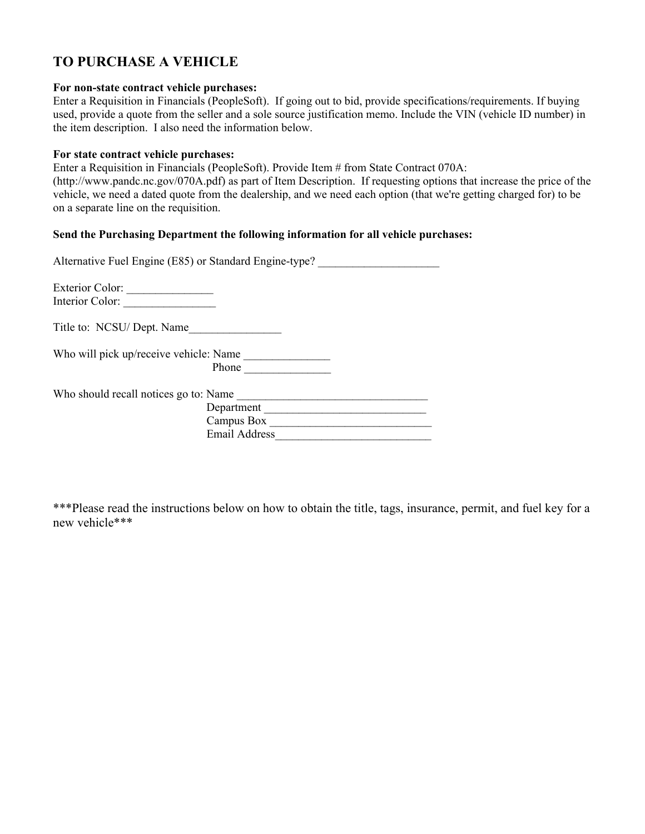## **TO PURCHASE A VEHICLE**

#### **For non-state contract vehicle purchases:**

Enter a Requisition in Financials (PeopleSoft). If going out to bid, provide specifications/requirements. If buying used, provide a quote from the seller and a sole source justification memo. Include the VIN (vehicle ID number) in the item description. I also need the information below.

## **For state contract vehicle purchases:**

Enter a Requisition in Financials (PeopleSoft). Provide Item # from State Contract 070A:

(http://www.pandc.nc.gov/070A.pdf) as part of Item Description. If requesting options that increase the price of the vehicle, we need a dated quote from the dealership, and we need each option (that we're getting charged for) to be on a separate line on the requisition.

## **Send the Purchasing Department the following information for all vehicle purchases:**

| Alternative Fuel Engine (E85) or Standard Engine-type? |                      |
|--------------------------------------------------------|----------------------|
| Exterior Color:<br>Interior Color:                     |                      |
| Title to: NCSU/ Dept. Name                             |                      |
| Who will pick up/receive vehicle: Name                 | <b>Phone</b>         |
| Who should recall notices go to: Name                  |                      |
|                                                        | Department           |
|                                                        | Campus Box           |
|                                                        | <b>Email Address</b> |

\*\*\*Please read the instructions below on how to obtain the title, tags, insurance, permit, and fuel key for a new vehicle\*\*\*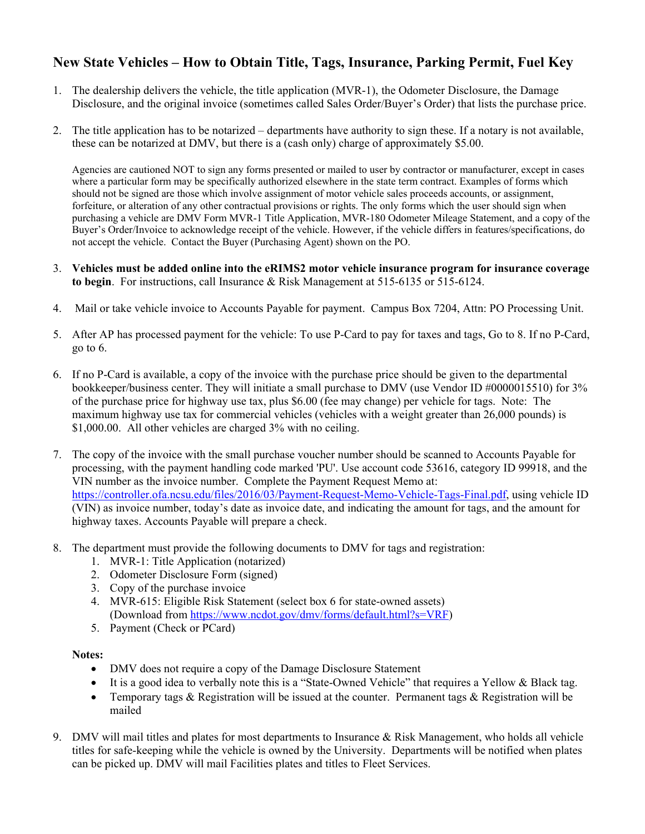# **New State Vehicles – How to Obtain Title, Tags, Insurance, Parking Permit, Fuel Key**

- 1. The dealership delivers the vehicle, the title application (MVR-1), the Odometer Disclosure, the Damage Disclosure, and the original invoice (sometimes called Sales Order/Buyer's Order) that lists the purchase price.
- 2. The title application has to be notarized departments have authority to sign these. If a notary is not available, these can be notarized at DMV, but there is a (cash only) charge of approximately \$5.00.

Agencies are cautioned NOT to sign any forms presented or mailed to user by contractor or manufacturer, except in cases where a particular form may be specifically authorized elsewhere in the state term contract. Examples of forms which should not be signed are those which involve assignment of motor vehicle sales proceeds accounts, or assignment, forfeiture, or alteration of any other contractual provisions or rights. The only forms which the user should sign when purchasing a vehicle are DMV Form MVR-1 Title Application, MVR-180 Odometer Mileage Statement, and a copy of the Buyer's Order/Invoice to acknowledge receipt of the vehicle. However, if the vehicle differs in features/specifications, do not accept the vehicle. Contact the Buyer (Purchasing Agent) shown on the PO.

- 3. **Vehicles must be added online into the eRIMS2 motor vehicle insurance program for insurance coverage to begin**. For instructions, call Insurance & Risk Management at 515-6135 or 515-6124.
- 4. Mail or take vehicle invoice to Accounts Payable for payment. Campus Box 7204, Attn: PO Processing Unit.
- 5. After AP has processed payment for the vehicle: To use P-Card to pay for taxes and tags, Go to 8. If no P-Card, go to 6.
- 6. If no P-Card is available, a copy of the invoice with the purchase price should be given to the departmental bookkeeper/business center. They will initiate a small purchase to DMV (use Vendor ID #0000015510) for 3% of the purchase price for highway use tax, plus \$6.00 (fee may change) per vehicle for tags. Note: The maximum highway use tax for commercial vehicles (vehicles with a weight greater than 26,000 pounds) is \$1,000.00. All other vehicles are charged 3% with no ceiling.
- 7. The copy of the invoice with the small purchase voucher number should be scanned to Accounts Payable for processing, with the payment handling code marked 'PU'. Use account code 53616, category ID 99918, and the VIN number as the invoice number. Complete the Payment Request Memo at: https://controller.ofa.ncsu.edu/files/2016/03/Payment-Request-Memo-Vehicle-Tags-Final.pdf, using vehicle ID (VIN) as invoice number, today's date as invoice date, and indicating the amount for tags, and the amount for highway taxes. Accounts Payable will prepare a check.
- 8. The department must provide the following documents to DMV for tags and registration:
	- 1. MVR-1: Title Application (notarized)
	- 2. Odometer Disclosure Form (signed)
	- 3. Copy of the purchase invoice
	- 4. MVR-615: Eligible Risk Statement (select box 6 for state-owned assets) (Download from https://www.ncdot.gov/dmv/forms/default.html?s=VRF)
	- 5. Payment (Check or PCard)

## **Notes:**

- DMV does not require a copy of the Damage Disclosure Statement
- It is a good idea to verbally note this is a "State-Owned Vehicle" that requires a Yellow & Black tag.
- Temporary tags & Registration will be issued at the counter. Permanent tags & Registration will be mailed
- 9. DMV will mail titles and plates for most departments to Insurance & Risk Management, who holds all vehicle titles for safe-keeping while the vehicle is owned by the University. Departments will be notified when plates can be picked up. DMV will mail Facilities plates and titles to Fleet Services.